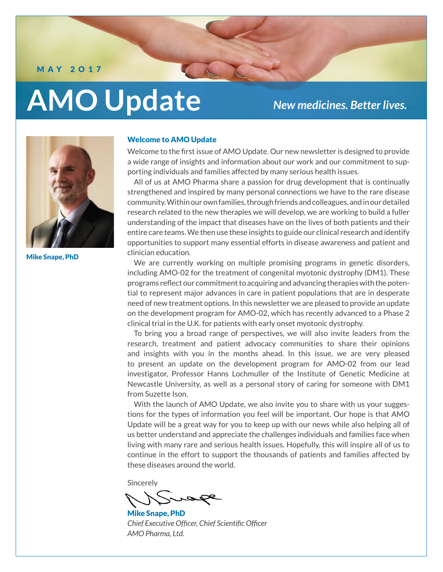M AY 2O17

# **AMO Update**

# *New medicines. Better lives..*



Mike Snape, PhD

# Welcome to AMO Update

Welcome to the first issue of AMO Update. Our new newsletter is designed to provide a wide range of insights and information about our work and our commitment to supporting individuals and families affected by many serious health issues.

All of us at AMO Pharma share a passion for drug development that is continually strengthened and inspired by many personal connections we have to the rare disease community. Within our own families, through friends and colleagues, and in our detailed research related to the new therapies we will develop, we are working to build a fuller understanding of the impact that diseases have on the lives of both patients and their entire care teams. We then use these insights to guide our clinical research and identify opportunities to support many essential efforts in disease awareness and patient and clinician education.

We are currently working on multiple promising programs in genetic disorders, including AMO-02 for the treatment of congenital myotonic dystrophy (DM1). These programs reflect our commitment to acquiring and advancing therapies with the potential to represent major advances in care in patient populations that are in desperate need of new treatment options. In this newsletter we are pleased to provide an update on the development program for AMO-02, which has recently advanced to a Phase 2 clinical trial in the U.K. for patients with early onset myotonic dystrophy.

To bring you a broad range of perspectives, we will also invite leaders from the research, treatment and patient advocacy communities to share their opinions and insights with you in the months ahead. In this issue, we are very pleased to present an update on the development program for AMO-02 from our lead investigator, Professor Hanns Lochmuller of the Institute of Genetic Medicine at Newcastle University, as well as a personal story of caring for someone with DM1 from Suzette Ison.

With the launch of AMO Update, we also invite you to share with us your suggestions for the types of information you feel will be important. Our hope is that AMO Update will be a great way for you to keep up with our news while also helping all of us better understand and appreciate the challenges individuals and families face when living with many rare and serious health issues. Hopefully, this will inspire all of us to continue in the effort to support the thousands of patients and families affected by these diseases around the world.

Sincerely

Mike Snape, PhD *Chief Executive Officer, Chief Scientific Officer AMO Pharma, Ltd.*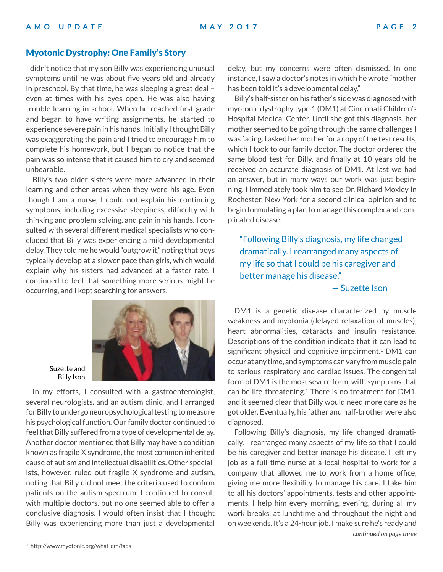# Myotonic Dystrophy: One Family's Story

I didn't notice that my son Billy was experiencing unusual symptoms until he was about five years old and already in preschool. By that time, he was sleeping a great deal – even at times with his eyes open. He was also having trouble learning in school. When he reached first grade and began to have writing assignments, he started to experience severe pain in his hands. Initially I thought Billy was exaggerating the pain and I tried to encourage him to complete his homework, but I began to notice that the pain was so intense that it caused him to cry and seemed unbearable.

Billy's two older sisters were more advanced in their learning and other areas when they were his age. Even though I am a nurse, I could not explain his continuing symptoms, including excessive sleepiness, difficulty with thinking and problem solving, and pain in his hands. I consulted with several different medical specialists who concluded that Billy was experiencing a mild developmental delay. They told me he would "outgrow it," noting that boys typically develop at a slower pace than girls, which would explain why his sisters had advanced at a faster rate. I continued to feel that something more serious might be occurring, and I kept searching for answers.



Suzette and Billy Ison

In my efforts, I consulted with a gastroenterologist, several neurologists, and an autism clinic, and I arranged for Billy to undergo neuropsychological testing to measure his psychological function. Our family doctor continued to feel that Billy suffered from a type of developmental delay. Another doctor mentioned that Billy may have a condition known as fragile X syndrome, the most common inherited cause of autism and intellectual disabilities. Other specialists, however, ruled out fragile X syndrome and autism, noting that Billy did not meet the criteria used to confirm patients on the autism spectrum. I continued to consult with multiple doctors, but no one seemed able to offer a conclusive diagnosis. I would often insist that I thought Billy was experiencing more than just a developmental

delay, but my concerns were often dismissed. In one instance, I saw a doctor's notes in which he wrote "mother has been told it's a developmental delay."

Billy's half-sister on his father's side was diagnosed with myotonic dystrophy type 1 (DM1) at Cincinnati Children's Hospital Medical Center. Until she got this diagnosis, her mother seemed to be going through the same challenges I was facing. I asked her mother for a copy of the test results, which I took to our family doctor. The doctor ordered the same blood test for Billy, and finally at 10 years old he received an accurate diagnosis of DM1. At last we had an answer, but in many ways our work was just beginning. I immediately took him to see Dr. Richard Moxley in Rochester, New York for a second clinical opinion and to begin formulating a plan to manage this complex and complicated disease.

"Following Billy's diagnosis, my life changed dramatically. I rearranged many aspects of my life so that I could be his caregiver and better manage his disease."

— Suzette Ison

DM1 is a genetic disease characterized by muscle weakness and myotonia (delayed relaxation of muscles), heart abnormalities, cataracts and insulin resistance. Descriptions of the condition indicate that it can lead to significant physical and cognitive impairment.<sup>1</sup> DM1 can occur at any time, and symptoms can vary from muscle pain to serious respiratory and cardiac issues. The congenital form of DM1 is the most severe form, with symptoms that can be life-threatening.<sup>1</sup> There is no treatment for DM1, and it seemed clear that Billy would need more care as he got older. Eventually, his father and half-brother were also diagnosed.

Following Billy's diagnosis, my life changed dramatically. I rearranged many aspects of my life so that I could be his caregiver and better manage his disease. I left my job as a full-time nurse at a local hospital to work for a company that allowed me to work from a home office, giving me more flexibility to manage his care. I take him to all his doctors' appointments, tests and other appointments. I help him every morning, evening, during all my work breaks, at lunchtime and throughout the night and on weekends. It's a 24-hour job. I make sure he's ready and *continued on page three*

<sup>1</sup> http://www.myotonic.org/what-dm/faqs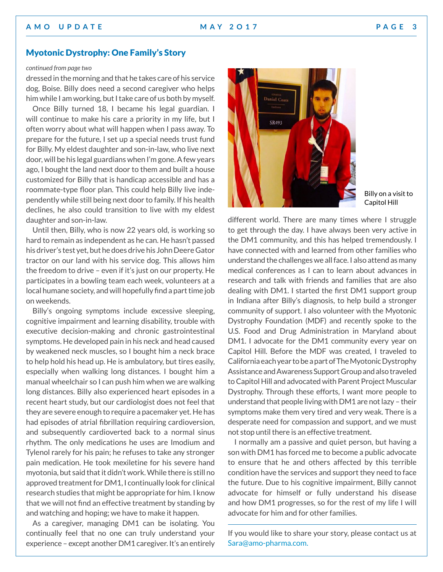## **A M O U P D A T E MAY 2 O 1 7 P A G E 3**

# Myotonic Dystrophy: One Family's Story

### *continued from page two*

dressed in the morning and that he takes care of his service dog, Boise. Billy does need a second caregiver who helps him while I am working, but I take care of us both by myself.

Once Billy turned 18, I became his legal guardian. I will continue to make his care a priority in my life, but I often worry about what will happen when I pass away. To prepare for the future, I set up a special needs trust fund for Billy. My eldest daughter and son-in-law, who live next door, will be his legal guardians when I'm gone. A few years ago, I bought the land next door to them and built a house customized for Billy that is handicap accessible and has a roommate-type floor plan. This could help Billy live independently while still being next door to family. If his health declines, he also could transition to live with my eldest daughter and son-in-law.

Until then, Billy, who is now 22 years old, is working so hard to remain as independent as he can. He hasn't passed his driver's test yet, but he does drive his John Deere Gator tractor on our land with his service dog. This allows him the freedom to drive – even if it's just on our property. He participates in a bowling team each week, volunteers at a local humane society, and will hopefully find a part time job on weekends.

Billy's ongoing symptoms include excessive sleeping, cognitive impairment and learning disability, trouble with executive decision-making and chronic gastrointestinal symptoms. He developed pain in his neck and head caused by weakened neck muscles, so I bought him a neck brace to help hold his head up. He is ambulatory, but tires easily, especially when walking long distances. I bought him a manual wheelchair so I can push him when we are walking long distances. Billy also experienced heart episodes in a recent heart study, but our cardiologist does not feel that they are severe enough to require a pacemaker yet. He has had episodes of atrial fibrillation requiring cardioversion, and subsequently cardioverted back to a normal sinus rhythm. The only medications he uses are Imodium and Tylenol rarely for his pain; he refuses to take any stronger pain medication. He took mexiletine for his severe hand myotonia, but said that it didn't work. While there is still no approved treatment for DM1, I continually look for clinical research studies that might be appropriate for him. I know that we will not find an effective treatment by standing by and watching and hoping; we have to make it happen.

As a caregiver, managing DM1 can be isolating. You continually feel that no one can truly understand your experience – except another DM1 caregiver. It's an entirely



Billy on a visit to Capitol Hill

different world. There are many times where I struggle to get through the day. I have always been very active in the DM1 community, and this has helped tremendously. I have connected with and learned from other families who understand the challenges we all face. I also attend as many medical conferences as I can to learn about advances in research and talk with friends and families that are also dealing with DM1. I started the first DM1 support group in Indiana after Billy's diagnosis, to help build a stronger community of support. I also volunteer with the Myotonic Dystrophy Foundation (MDF) and recently spoke to the U.S. Food and Drug Administration in Maryland about DM1. I advocate for the DM1 community every year on Capitol Hill. Before the MDF was created, I traveled to California each year to be a part of The Myotonic Dystrophy Assistance and Awareness Support Group and also traveled to Capitol Hill and advocated with Parent Project Muscular Dystrophy. Through these efforts, I want more people to understand that people living with DM1 are not lazy – their symptoms make them very tired and very weak. There is a desperate need for compassion and support, and we must not stop until there is an effective treatment.

I normally am a passive and quiet person, but having a son with DM1 has forced me to become a public advocate to ensure that he and others affected by this terrible condition have the services and support they need to face the future. Due to his cognitive impairment, Billy cannot advocate for himself or fully understand his disease and how DM1 progresses, so for the rest of my life I will advocate for him and for other families.

If you would like to share your story, please contact us at [Sara@amo-pharma.com.](mailto:Sara%40amo-pharma.com?subject=An%20email%20from%20AMO%20Update%20newsletter)